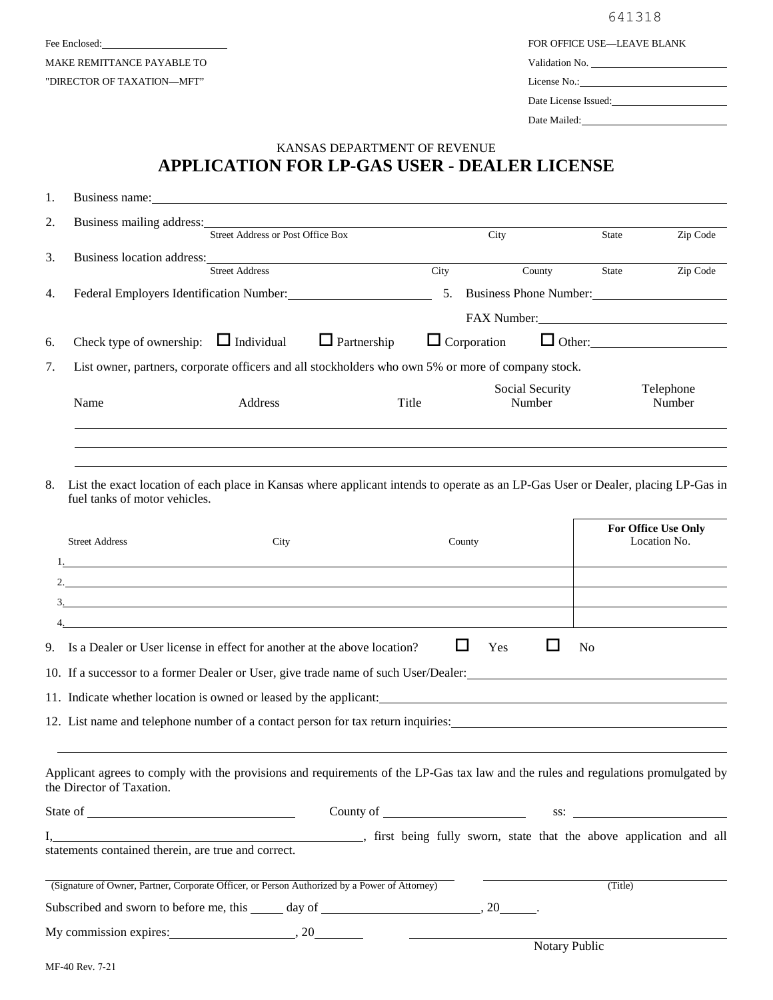MAKE REMITTANCE PAYABLE TO "DIRECTOR OF TAXATION—MFT"

641318

For enclosed: **FOR OFFICE USE—LEAVE BLANK** 

Validation No. License No.:

Date License Issued:

Date Mailed:

## **APPLICATION FOR LP-GAS USER - DEALER LICENSE** KANSAS DEPARTMENT OF REVENUE

| 1. | Business name: Department of the contract of the contract of the contract of the contract of the contract of the contract of the contract of the contract of the contract of the contract of the contract of the contract of t                                             |                       |                    |                           |                           |               |                                     |  |
|----|----------------------------------------------------------------------------------------------------------------------------------------------------------------------------------------------------------------------------------------------------------------------------|-----------------------|--------------------|---------------------------|---------------------------|---------------|-------------------------------------|--|
| 2. | Business mailing address: No. 1996. The Second State of the Second State of the Second State of the Second State of the Second State of the Second State of the Second State of the Second State of the Second State of the Se<br><b>Street Address or Post Office Box</b> |                       |                    | City                      |                           | <b>State</b>  | Zip Code                            |  |
| 3. | Business location address:                                                                                                                                                                                                                                                 | <b>Street Address</b> |                    | City                      | County                    | State         | Zip Code                            |  |
| 4. |                                                                                                                                                                                                                                                                            |                       |                    |                           | 5. Business Phone Number: |               |                                     |  |
|    |                                                                                                                                                                                                                                                                            |                       |                    |                           | FAX Number:               |               |                                     |  |
| 6. | Check type of ownership: $\Box$ Individual                                                                                                                                                                                                                                 |                       | $\Box$ Partnership | $\Box$ Corporation        |                           |               |                                     |  |
| 7. | List owner, partners, corporate officers and all stockholders who own 5% or more of company stock.                                                                                                                                                                         |                       |                    |                           |                           |               |                                     |  |
|    | Name                                                                                                                                                                                                                                                                       | Address               | Title              | Social Security<br>Number |                           |               | Telephone<br>Number                 |  |
| 8. | List the exact location of each place in Kansas where applicant intends to operate as an LP-Gas User or Dealer, placing LP-Gas in<br>fuel tanks of motor vehicles.                                                                                                         |                       |                    |                           |                           |               |                                     |  |
|    | <b>Street Address</b><br>City                                                                                                                                                                                                                                              |                       |                    | County                    |                           |               | For Office Use Only<br>Location No. |  |
|    |                                                                                                                                                                                                                                                                            |                       |                    |                           |                           |               |                                     |  |
|    |                                                                                                                                                                                                                                                                            |                       |                    |                           |                           |               |                                     |  |
|    |                                                                                                                                                                                                                                                                            |                       |                    |                           |                           |               |                                     |  |
|    | 9. Is a Dealer or User license in effect for another at the above location?                                                                                                                                                                                                |                       |                    | $\Box$                    | $\Box$<br>Yes             | No            |                                     |  |
|    | 10. If a successor to a former Dealer or User, give trade name of such User/Dealer:                                                                                                                                                                                        |                       |                    |                           |                           |               |                                     |  |
|    | 11. Indicate whether location is owned or leased by the applicant:                                                                                                                                                                                                         |                       |                    |                           |                           |               |                                     |  |
|    | 12. List name and telephone number of a contact person for tax return inquiries:                                                                                                                                                                                           |                       |                    |                           |                           |               |                                     |  |
|    | Applicant agrees to comply with the provisions and requirements of the LP-Gas tax law and the rules and regulations promulgated by<br>the Director of Taxation.                                                                                                            |                       |                    |                           |                           |               |                                     |  |
|    |                                                                                                                                                                                                                                                                            |                       |                    |                           |                           |               |                                     |  |
|    | statements contained therein, are true and correct.                                                                                                                                                                                                                        |                       |                    |                           |                           |               |                                     |  |
|    | (Signature of Owner, Partner, Corporate Officer, or Person Authorized by a Power of Attorney)                                                                                                                                                                              |                       |                    |                           |                           | (Title)       |                                     |  |
|    | Subscribed and sworn to before me, this ______ day of ___________________________, 20_______.                                                                                                                                                                              |                       |                    |                           |                           |               |                                     |  |
|    |                                                                                                                                                                                                                                                                            |                       |                    |                           |                           | Notary Public |                                     |  |